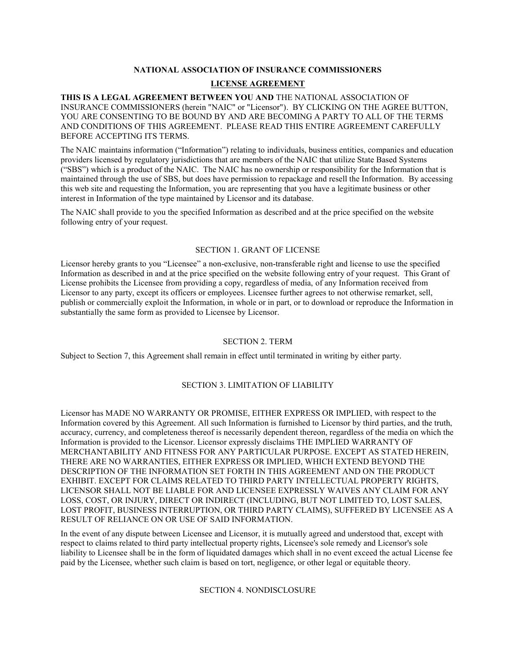# **NATIONAL ASSOCIATION OF INSURANCE COMMISSIONERS LICENSE AGREEMENT**

**THIS IS A LEGAL AGREEMENT BETWEEN YOU AND** THE NATIONAL ASSOCIATION OF INSURANCE COMMISSIONERS (herein "NAIC" or "Licensor"). BY CLICKING ON THE AGREE BUTTON, YOU ARE CONSENTING TO BE BOUND BY AND ARE BECOMING A PARTY TO ALL OF THE TERMS AND CONDITIONS OF THIS AGREEMENT. PLEASE READ THIS ENTIRE AGREEMENT CAREFULLY BEFORE ACCEPTING ITS TERMS.

The NAIC maintains information ("Information") relating to individuals, business entities, companies and education providers licensed by regulatory jurisdictions that are members of the NAIC that utilize State Based Systems ("SBS") which is a product of the NAIC. The NAIC has no ownership or responsibility for the Information that is maintained through the use of SBS, but does have permission to repackage and resell the Information. By accessing this web site and requesting the Information, you are representing that you have a legitimate business or other interest in Information of the type maintained by Licensor and its database.

The NAIC shall provide to you the specified Information as described and at the price specified on the website following entry of your request.

# SECTION 1. GRANT OF LICENSE

Licensor hereby grants to you "Licensee" a non-exclusive, non-transferable right and license to use the specified Information as described in and at the price specified on the website following entry of your request. This Grant of License prohibits the Licensee from providing a copy, regardless of media, of any Information received from Licensor to any party, except its officers or employees. Licensee further agrees to not otherwise remarket, sell, publish or commercially exploit the Information, in whole or in part, or to download or reproduce the Information in substantially the same form as provided to Licensee by Licensor.

# SECTION 2. TERM

Subject to Section 7, this Agreement shall remain in effect until terminated in writing by either party.

# SECTION 3. LIMITATION OF LIABILITY

Licensor has MADE NO WARRANTY OR PROMISE, EITHER EXPRESS OR IMPLIED, with respect to the Information covered by this Agreement. All such Information is furnished to Licensor by third parties, and the truth, accuracy, currency, and completeness thereof is necessarily dependent thereon, regardless of the media on which the Information is provided to the Licensor. Licensor expressly disclaims THE IMPLIED WARRANTY OF MERCHANTABILITY AND FITNESS FOR ANY PARTICULAR PURPOSE. EXCEPT AS STATED HEREIN, THERE ARE NO WARRANTIES, EITHER EXPRESS OR IMPLIED, WHICH EXTEND BEYOND THE DESCRIPTION OF THE INFORMATION SET FORTH IN THIS AGREEMENT AND ON THE PRODUCT EXHIBIT. EXCEPT FOR CLAIMS RELATED TO THIRD PARTY INTELLECTUAL PROPERTY RIGHTS, LICENSOR SHALL NOT BE LIABLE FOR AND LICENSEE EXPRESSLY WAIVES ANY CLAIM FOR ANY LOSS, COST, OR INJURY, DIRECT OR INDIRECT (INCLUDING, BUT NOT LIMITED TO, LOST SALES, LOST PROFIT, BUSINESS INTERRUPTION, OR THIRD PARTY CLAIMS), SUFFERED BY LICENSEE AS A RESULT OF RELIANCE ON OR USE OF SAID INFORMATION.

In the event of any dispute between Licensee and Licensor, it is mutually agreed and understood that, except with respect to claims related to third party intellectual property rights, Licensee's sole remedy and Licensor's sole liability to Licensee shall be in the form of liquidated damages which shall in no event exceed the actual License fee paid by the Licensee, whether such claim is based on tort, negligence, or other legal or equitable theory.

## SECTION 4. NONDISCLOSURE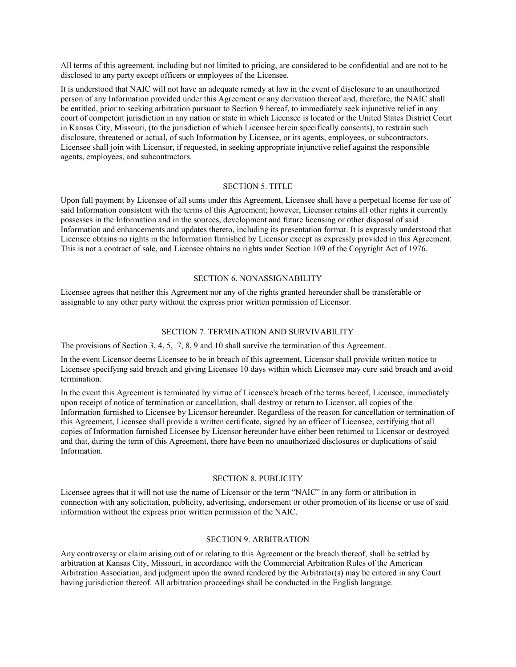All terms of this agreement, including but not limited to pricing, are considered to be confidential and are not to be disclosed to any party except officers or employees of the Licensee.

It is understood that NAIC will not have an adequate remedy at law in the event of disclosure to an unauthorized person of any Information provided under this Agreement or any derivation thereof and, therefore, the NAIC shall be entitled, prior to seeking arbitration pursuant to Section 9 hereof, to immediately seek injunctive relief in any court of competent jurisdiction in any nation or state in which Licensee is located or the United States District Court in Kansas City, Missouri, (to the jurisdiction of which Licensee herein specifically consents), to restrain such disclosure, threatened or actual, of such Information by Licensee, or its agents, employees, or subcontractors. Licensee shall join with Licensor, if requested, in seeking appropriate injunctive relief against the responsible agents, employees, and subcontractors.

#### SECTION 5. TITLE

Upon full payment by Licensee of all sums under this Agreement, Licensee shall have a perpetual license for use of said Information consistent with the terms of this Agreement; however, Licensor retains all other rights it currently possesses in the Information and in the sources, development and future licensing or other disposal of said Information and enhancements and updates thereto, including its presentation format. It is expressly understood that Licensee obtains no rights in the Information furnished by Licensor except as expressly provided in this Agreement. This is not a contract of sale, and Licensee obtains no rights under Section 109 of the Copyright Act of 1976.

## SECTION 6. NONASSIGNABILITY

Licensee agrees that neither this Agreement nor any of the rights granted hereunder shall be transferable or assignable to any other party without the express prior written permission of Licensor.

#### SECTION 7. TERMINATION AND SURVIVABILITY

The provisions of Section 3, 4, 5, 7, 8, 9 and 10 shall survive the termination of this Agreement.

In the event Licensor deems Licensee to be in breach of this agreement, Licensor shall provide written notice to Licensee specifying said breach and giving Licensee 10 days within which Licensee may cure said breach and avoid termination.

In the event this Agreement is terminated by virtue of Licensee's breach of the terms hereof, Licensee, immediately upon receipt of notice of termination or cancellation, shall destroy or return to Licensor, all copies of the Information furnished to Licensee by Licensor hereunder. Regardless of the reason for cancellation or termination of this Agreement, Licensee shall provide a written certificate, signed by an officer of Licensee, certifying that all copies of Information furnished Licensee by Licensor hereunder have either been returned to Licensor or destroyed and that, during the term of this Agreement, there have been no unauthorized disclosures or duplications of said Information.

#### SECTION 8. PUBLICITY

Licensee agrees that it will not use the name of Licensor or the term "NAIC" in any form or attribution in connection with any solicitation, publicity, advertising, endorsement or other promotion of its license or use of said information without the express prior written permission of the NAIC.

### SECTION 9. ARBITRATION

Any controversy or claim arising out of or relating to this Agreement or the breach thereof, shall be settled by arbitration at Kansas City, Missouri, in accordance with the Commercial Arbitration Rules of the American Arbitration Association, and judgment upon the award rendered by the Arbitrator(s) may be entered in any Court having jurisdiction thereof. All arbitration proceedings shall be conducted in the English language.